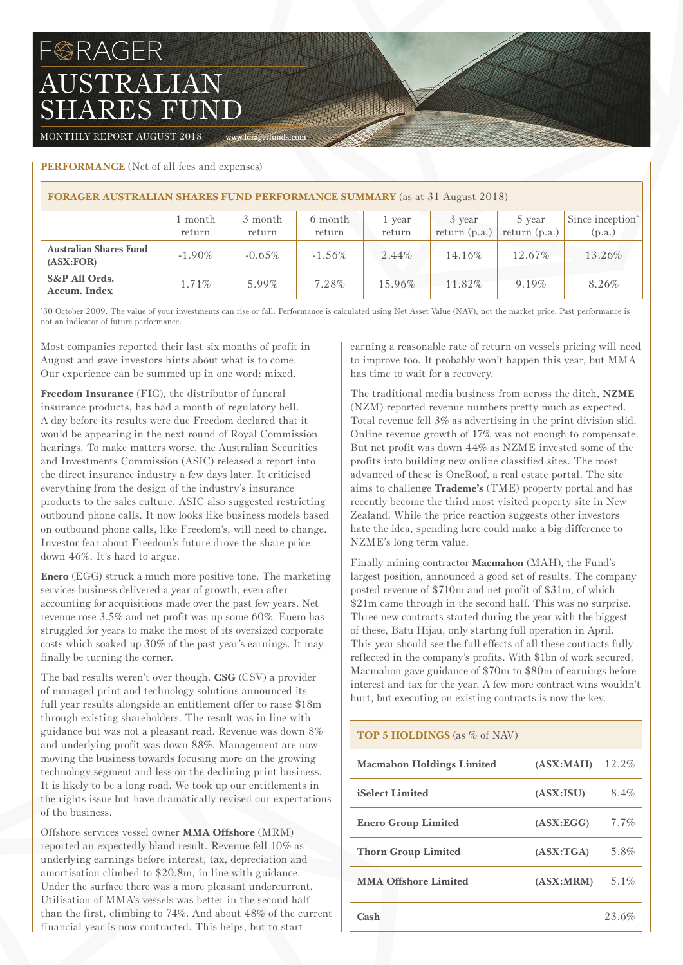# FORAGER AUSTRALIAN SHARES FUND

MONTHLY REPORT AUGUST 2018 www.foragerfunds.com

## **PERFORMANCE** (Net of all fees and expenses)

| <b>FORAGER AUSTRALIAN SHARES FUND PERFORMANCE SUMMARY</b> (as at 31 August 2018) |                   |                   |                   |                  |                           |                           |                                        |  |
|----------------------------------------------------------------------------------|-------------------|-------------------|-------------------|------------------|---------------------------|---------------------------|----------------------------------------|--|
|                                                                                  | l month<br>return | 3 month<br>return | 6 month<br>return | 1 vear<br>return | 3 year<br>return $(p.a.)$ | 5 year<br>return $(p.a.)$ | Since inception <sup>*</sup><br>(p.a.) |  |
| <b>Australian Shares Fund</b><br>(ASK:FOR)                                       | $-1.90\%$         | $-0.65\%$         | $-1.56\%$         | 2.44%            | 14.16%                    | 12.67%                    | 13.26%                                 |  |
| S&P All Ords.<br>Accum. Index                                                    | $1.71\%$          | $5.99\%$          | 7.28%             | 15.96%           | 11.82%                    | $9.19\%$                  | 8.26%                                  |  |

The Committee

\* 30 October 2009. The value of your investments can rise or fall. Performance is calculated using Net Asset Value (NAV), not the market price. Past performance is not an indicator of future performance.

Most companies reported their last six months of profit in August and gave investors hints about what is to come. Our experience can be summed up in one word: mixed.

**Freedom Insurance** (FIG), the distributor of funeral insurance products, has had a month of regulatory hell. A day before its results were due Freedom declared that it would be appearing in the next round of Royal Commission hearings. To make matters worse, the Australian Securities and Investments Commission (ASIC) released a report into the direct insurance industry a few days later. It criticised everything from the design of the industry's insurance products to the sales culture. ASIC also suggested restricting outbound phone calls. It now looks like business models based on outbound phone calls, like Freedom's, will need to change. Investor fear about Freedom's future drove the share price down 46%. It's hard to argue.

**Enero** (EGG) struck a much more positive tone. The marketing services business delivered a year of growth, even after accounting for acquisitions made over the past few years. Net revenue rose 3.5% and net profit was up some 60%. Enero has struggled for years to make the most of its oversized corporate costs which soaked up 30% of the past year's earnings. It may finally be turning the corner.

The bad results weren't over though. **CSG** (CSV) a provider of managed print and technology solutions announced its full year results alongside an entitlement offer to raise \$18m through existing shareholders. The result was in line with guidance but was not a pleasant read. Revenue was down 8% and underlying profit was down 88%. Management are now moving the business towards focusing more on the growing technology segment and less on the declining print business. It is likely to be a long road. We took up our entitlements in the rights issue but have dramatically revised our expectations of the business.

Offshore services vessel owner **MMA Offshore** (MRM) reported an expectedly bland result. Revenue fell 10% as underlying earnings before interest, tax, depreciation and amortisation climbed to \$20.8m, in line with guidance. Under the surface there was a more pleasant undercurrent. Utilisation of MMA's vessels was better in the second half than the first, climbing to 74%. And about 48% of the current financial year is now contracted. This helps, but to start

earning a reasonable rate of return on vessels pricing will need to improve too. It probably won't happen this year, but MMA has time to wait for a recovery.

The traditional media business from across the ditch, **NZME** (NZM) reported revenue numbers pretty much as expected. Total revenue fell 3% as advertising in the print division slid. Online revenue growth of 17% was not enough to compensate. But net profit was down 44% as NZME invested some of the profits into building new online classified sites. The most advanced of these is OneRoof, a real estate portal. The site aims to challenge **Trademe's** (TME) property portal and has recently become the third most visited property site in New Zealand. While the price reaction suggests other investors hate the idea, spending here could make a big difference to NZME's long term value.

Finally mining contractor **Macmahon** (MAH), the Fund's largest position, announced a good set of results. The company posted revenue of \$710m and net profit of \$31m, of which \$21m came through in the second half. This was no surprise. Three new contracts started during the year with the biggest of these, Batu Hijau, only starting full operation in April. This year should see the full effects of all these contracts fully reflected in the company's profits. With \$1bn of work secured, Macmahon gave guidance of \$70m to \$80m of earnings before interest and tax for the year. A few more contract wins wouldn't hurt, but executing on existing contracts is now the key.

## **TOP 5 HOLDINGS** (as % of NAV)

| <b>Macmahon Holdings Limited</b> | (ASK:MAH)  | 12.2%   |
|----------------------------------|------------|---------|
| <b>iSelect Limited</b>           | (ASK:ISU)  | 8.4%    |
| <b>Enero Group Limited</b>       | (ASK:EGG)  | $7.7\%$ |
| <b>Thorn Group Limited</b>       | (ASK: TGA) | 5.8%    |
| <b>MMA Offshore Limited</b>      | (ASK: MRM) | $5.1\%$ |
| Cash                             |            | 23.6%   |